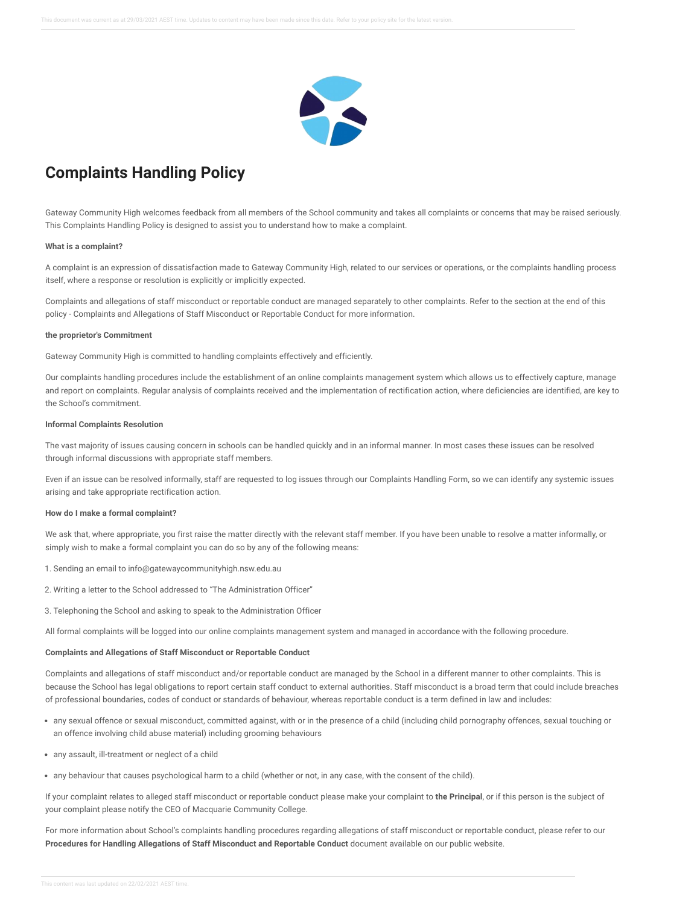

# **Complaints Handling Policy**

Gateway Community High welcomes feedback from all members of the School community and takes all complaints or concerns that may be raised seriously. This Complaints Handling Policy is designed to assist you to understand how to make a complaint.

## **What is a complaint?**

A complaint is an expression of dissatisfaction made to Gateway Community High, related to our services or operations, or the complaints handling process itself, where a response or resolution is explicitly or implicitly expected.

Complaints and allegations of staff misconduct or reportable conduct are managed separately to other complaints. Refer to the section at the end of this policy - Complaints and Allegations of Staff Misconduct or Reportable Conduct for more information.

#### **the proprietor's Commitment**

Gateway Community High is committed to handling complaints effectively and efficiently.

Our complaints handling procedures include the establishment of an online complaints management system which allows us to effectively capture, manage and report on complaints. Regular analysis of complaints received and the implementation of rectification action, where deficiencies are identified, are key to the School's commitment.

#### **Informal Complaints Resolution**

The vast majority of issues causing concern in schools can be handled quickly and in an informal manner. In most cases these issues can be resolved through informal discussions with appropriate staff members.

Even if an issue can be resolved informally, staff are requested to log issues through our Complaints Handling Form, so we can identify any systemic issues arising and take appropriate rectification action.

### **How do I make a formal complaint?**

We ask that, where appropriate, you first raise the matter directly with the relevant staff member. If you have been unable to resolve a matter informally, or simply wish to make a formal complaint you can do so by any of the following means:

- 1. Sending an email to info@gatewaycommunityhigh.nsw.edu.au
- 2. Writing a letter to the School addressed to "The Administration Officer"
- 3. Telephoning the School and asking to speak to the Administration Officer

All formal complaints will be logged into our online complaints management system and managed in accordance with the following procedure.

# **Complaints and Allegations of Staff Misconduct or Reportable Conduct**

Complaints and allegations of staff misconduct and/or reportable conduct are managed by the School in a different manner to other complaints. This is because the School has legal obligations to report certain staff conduct to external authorities. Staff misconduct is a broad term that could include breaches of professional boundaries, codes of conduct or standards of behaviour, whereas reportable conduct is a term defined in law and includes:

- any sexual offence or sexual misconduct, committed against, with or in the presence of a child (including child pornography offences, sexual touching or an offence involving child abuse material) including grooming behaviours
- any assault, ill-treatment or neglect of a child
- any behaviour that causes psychological harm to a child (whether or not, in any case, with the consent of the child).

If your complaint relates to alleged staff misconduct or reportable conduct please make your complaint to **the Principal**, or if this person is the subject of your complaint please notify the CEO of Macquarie Community College.

For more information about School's complaints handling procedures regarding allegations of staff misconduct or reportable conduct, please refer to our **Procedures for Handling Allegations of Staff Misconduct and Reportable Conduct** document available on our public website.